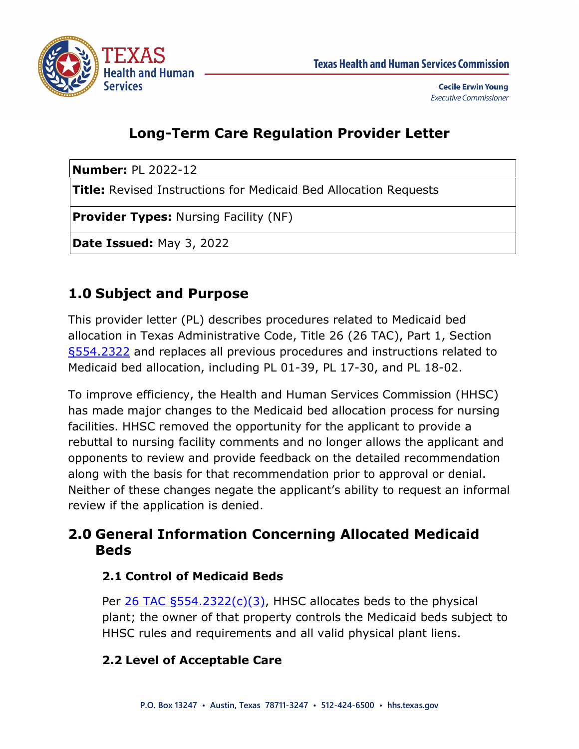

**Cecile Erwin Young Executive Commissioner** 

# **Long-Term Care Regulation Provider Letter**

**Number:** PL 2022-12

**Title:** Revised Instructions for Medicaid Bed Allocation Requests

**Provider Types:** Nursing Facility (NF)

**Date Issued:** May 3, 2022

## **1.0 Subject and Purpose**

This provider letter (PL) describes procedures related to Medicaid bed allocation in Texas Administrative Code, Title 26 (26 TAC), Part 1, Section [§554.2322](https://texreg.sos.state.tx.us/public/readtac$ext.TacPage?sl=R&app=9&p_dir=&p_rloc=&p_tloc=&p_ploc=&pg=1&p_tac=&ti=26&pt=1&ch=554&rl=2322) and replaces all previous procedures and instructions related to Medicaid bed allocation, including PL 01-39, PL 17-30, and PL 18-02.

To improve efficiency, the Health and Human Services Commission (HHSC) has made major changes to the Medicaid bed allocation process for nursing facilities. HHSC removed the opportunity for the applicant to provide a rebuttal to nursing facility comments and no longer allows the applicant and opponents to review and provide feedback on the detailed recommendation along with the basis for that recommendation prior to approval or denial. Neither of these changes negate the applicant's ability to request an informal review if the application is denied.

## **2.0 General Information Concerning Allocated Medicaid Beds**

## **2.1 Control of Medicaid Beds**

Per [26 TAC §554.2322\(c\)\(3\),](https://texreg.sos.state.tx.us/public/readtac$ext.TacPage?sl=R&app=9&p_dir=&p_rloc=&p_tloc=&p_ploc=&pg=1&p_tac=&ti=26&pt=1&ch=554&rl=2322) HHSC allocates beds to the physical plant; the owner of that property controls the Medicaid beds subject to HHSC rules and requirements and all valid physical plant liens.

## **2.2 Level of Acceptable Care**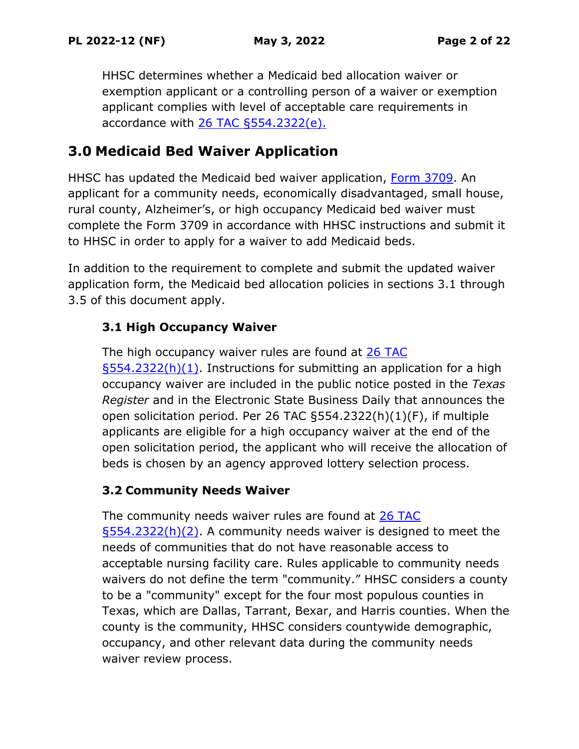HHSC determines whether a Medicaid bed allocation waiver or exemption applicant or a controlling person of a waiver or exemption applicant complies with level of acceptable care requirements in accordance with  $26$  TAC  $§554.2322(e)$ .

## **3.0 Medicaid Bed Waiver Application**

HHSC has updated the Medicaid bed waiver application, [Form 3709.](https://www.hhs.texas.gov/regulations/forms/3000-3999/form-3709-medicaid-bed-waiver-application-nursing-facilities) An applicant for a community needs, economically disadvantaged, small house, rural county, Alzheimer's, or high occupancy Medicaid bed waiver must complete the Form 3709 in accordance with HHSC instructions and submit it to HHSC in order to apply for a waiver to add Medicaid beds.

In addition to the requirement to complete and submit the updated waiver application form, the Medicaid bed allocation policies in sections 3.1 through 3.5 of this document apply.

## **3.1 High Occupancy Waiver**

The high occupancy waiver rules are found at 26 TAC [§554.2322\(h\)\(1\).](https://texreg.sos.state.tx.us/public/readtac$ext.TacPage?sl=R&app=9&p_dir=&p_rloc=&p_tloc=&p_ploc=&pg=1&p_tac=&ti=26&pt=1&ch=554&rl=2322) Instructions for submitting an application for a high occupancy waiver are included in the public notice posted in the *Texas Register* and in the Electronic State Business Daily that announces the open solicitation period. Per 26 TAC §554.2322(h)(1)(F), if multiple applicants are eligible for a high occupancy waiver at the end of the open solicitation period, the applicant who will receive the allocation of beds is chosen by an agency approved lottery selection process.

## **3.2 Community Needs Waiver**

The community needs waiver rules are found at [26 TAC](https://texreg.sos.state.tx.us/public/readtac$ext.TacPage?sl=R&app=9&p_dir=&p_rloc=&p_tloc=&p_ploc=&pg=1&p_tac=&ti=26&pt=1&ch=554&rl=2322)  [§554.2322\(h\)\(2\).](https://texreg.sos.state.tx.us/public/readtac$ext.TacPage?sl=R&app=9&p_dir=&p_rloc=&p_tloc=&p_ploc=&pg=1&p_tac=&ti=26&pt=1&ch=554&rl=2322) A community needs waiver is designed to meet the needs of communities that do not have reasonable access to acceptable nursing facility care. Rules applicable to community needs waivers do not define the term "community." HHSC considers a county to be a "community" except for the four most populous counties in Texas, which are Dallas, Tarrant, Bexar, and Harris counties. When the county is the community, HHSC considers countywide demographic, occupancy, and other relevant data during the community needs waiver review process.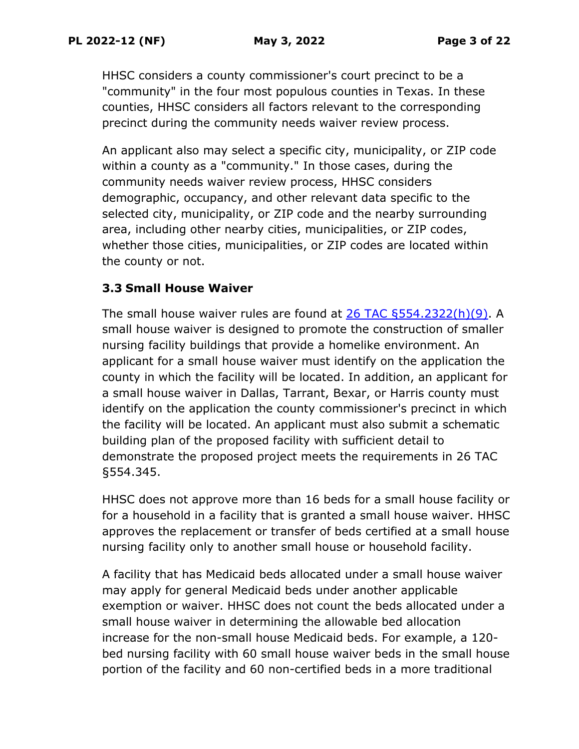HHSC considers a county commissioner's court precinct to be a "community" in the four most populous counties in Texas. In these counties, HHSC considers all factors relevant to the corresponding precinct during the community needs waiver review process.

An applicant also may select a specific city, municipality, or ZIP code within a county as a "community." In those cases, during the community needs waiver review process, HHSC considers demographic, occupancy, and other relevant data specific to the selected city, municipality, or ZIP code and the nearby surrounding area, including other nearby cities, municipalities, or ZIP codes, whether those cities, municipalities, or ZIP codes are located within the county or not.

## **3.3 Small House Waiver**

The small house waiver rules are found at  $26$  TAC  $5554.2322(h)(9)$ . A small house waiver is designed to promote the construction of smaller nursing facility buildings that provide a homelike environment. An applicant for a small house waiver must identify on the application the county in which the facility will be located. In addition, an applicant for a small house waiver in Dallas, Tarrant, Bexar, or Harris county must identify on the application the county commissioner's precinct in which the facility will be located. An applicant must also submit a schematic building plan of the proposed facility with sufficient detail to demonstrate the proposed project meets the requirements in 26 TAC §554.345.

HHSC does not approve more than 16 beds for a small house facility or for a household in a facility that is granted a small house waiver. HHSC approves the replacement or transfer of beds certified at a small house nursing facility only to another small house or household facility.

A facility that has Medicaid beds allocated under a small house waiver may apply for general Medicaid beds under another applicable exemption or waiver. HHSC does not count the beds allocated under a small house waiver in determining the allowable bed allocation increase for the non-small house Medicaid beds. For example, a 120 bed nursing facility with 60 small house waiver beds in the small house portion of the facility and 60 non-certified beds in a more traditional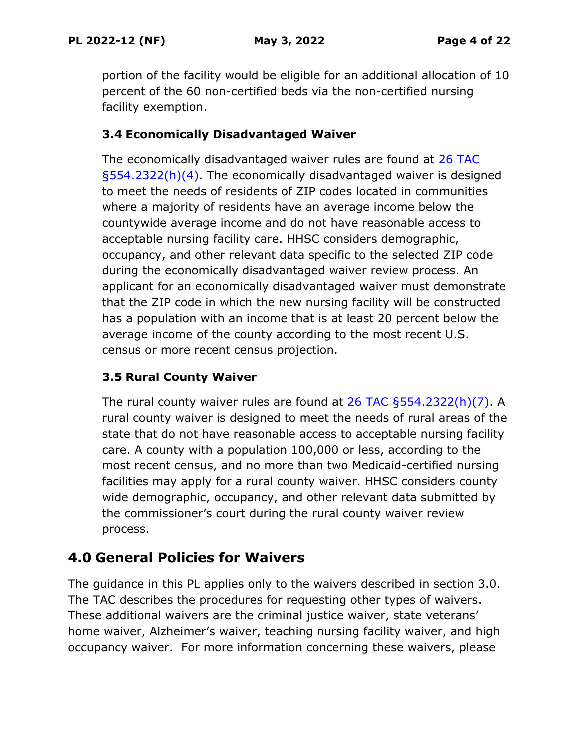portion of the facility would be eligible for an additional allocation of 10 percent of the 60 non-certified beds via the non-certified nursing facility exemption.

## **3.4 Economically Disadvantaged Waiver**

The economically disadvantaged waiver rules are found at [26 TAC](https://texreg.sos.state.tx.us/public/readtac$ext.TacPage?sl=R&app=9&p_dir=&p_rloc=&p_tloc=&p_ploc=&pg=1&p_tac=&ti=26&pt=1&ch=554&rl=2322)  [§554.2322\(h\)\(4\).](https://texreg.sos.state.tx.us/public/readtac$ext.TacPage?sl=R&app=9&p_dir=&p_rloc=&p_tloc=&p_ploc=&pg=1&p_tac=&ti=26&pt=1&ch=554&rl=2322) The economically disadvantaged waiver is designed to meet the needs of residents of ZIP codes located in communities where a majority of residents have an average income below the countywide average income and do not have reasonable access to acceptable nursing facility care. HHSC considers demographic, occupancy, and other relevant data specific to the selected ZIP code during the economically disadvantaged waiver review process. An applicant for an economically disadvantaged waiver must demonstrate that the ZIP code in which the new nursing facility will be constructed has a population with an income that is at least 20 percent below the average income of the county according to the most recent U.S. census or more recent census projection.

## **3.5 Rural County Waiver**

The rural county waiver rules are found at [26 TAC §554.2322\(h\)\(7\).](https://texreg.sos.state.tx.us/public/readtac$ext.TacPage?sl=R&app=9&p_dir=&p_rloc=&p_tloc=&p_ploc=&pg=1&p_tac=&ti=26&pt=1&ch=554&rl=2322) A rural county waiver is designed to meet the needs of rural areas of the state that do not have reasonable access to acceptable nursing facility care. A county with a population 100,000 or less, according to the most recent census, and no more than two Medicaid-certified nursing facilities may apply for a rural county waiver. HHSC considers county wide demographic, occupancy, and other relevant data submitted by the commissioner's court during the rural county waiver review process.

# **4.0 General Policies for Waivers**

The guidance in this PL applies only to the waivers described in section 3.0. The TAC describes the procedures for requesting other types of waivers. These additional waivers are the criminal justice waiver, state veterans' home waiver, Alzheimer's waiver, teaching nursing facility waiver, and high occupancy waiver. For more information concerning these waivers, please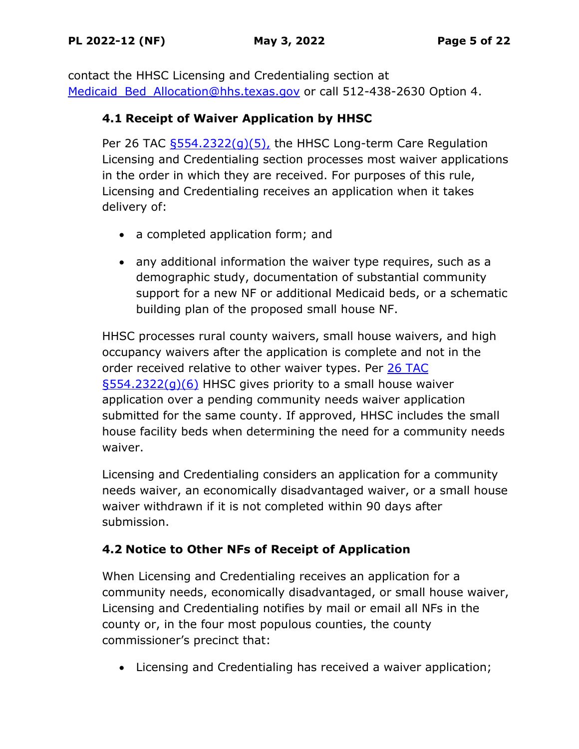contact the HHSC Licensing and Credentialing section at Medicaid Bed Allocation@hhs.texas.gov or call 512-438-2630 Option 4.

## **4.1 Receipt of Waiver Application by HHSC**

Per 26 TAC  $$554.2322(q)(5)$ , the HHSC Long-term Care Regulation Licensing and Credentialing section processes most waiver applications in the order in which they are received. For purposes of this rule, Licensing and Credentialing receives an application when it takes delivery of:

- a completed application form; and
- any additional information the waiver type requires, such as a demographic study, documentation of substantial community support for a new NF or additional Medicaid beds, or a schematic building plan of the proposed small house NF.

HHSC processes rural county waivers, small house waivers, and high occupancy waivers after the application is complete and not in the order received relative to other waiver types. Per [26 TAC](https://texreg.sos.state.tx.us/public/readtac$ext.TacPage?sl=T&app=9&p_dir=F&p_rloc=203285&p_tloc=14966&p_ploc=1&pg=2&p_tac=&ti=26&pt=1&ch=554&rl=2322)  [§554.2322\(g\)\(6\)](https://texreg.sos.state.tx.us/public/readtac$ext.TacPage?sl=T&app=9&p_dir=F&p_rloc=203285&p_tloc=14966&p_ploc=1&pg=2&p_tac=&ti=26&pt=1&ch=554&rl=2322) HHSC gives priority to a small house waiver application over a pending community needs waiver application submitted for the same county. If approved, HHSC includes the small house facility beds when determining the need for a community needs waiver.

Licensing and Credentialing considers an application for a community needs waiver, an economically disadvantaged waiver, or a small house waiver withdrawn if it is not completed within 90 days after submission.

## **4.2 Notice to Other NFs of Receipt of Application**

When Licensing and Credentialing receives an application for a community needs, economically disadvantaged, or small house waiver, Licensing and Credentialing notifies by mail or email all NFs in the county or, in the four most populous counties, the county commissioner's precinct that:

• Licensing and Credentialing has received a waiver application;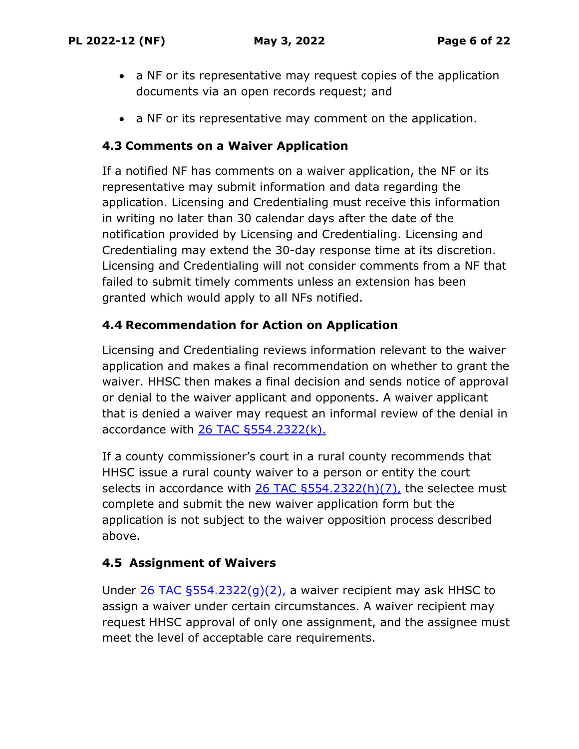- a NF or its representative may request copies of the application documents via an open records request; and
- a NF or its representative may comment on the application.

#### **4.3 Comments on a Waiver Application**

If a notified NF has comments on a waiver application, the NF or its representative may submit information and data regarding the application. Licensing and Credentialing must receive this information in writing no later than 30 calendar days after the date of the notification provided by Licensing and Credentialing. Licensing and Credentialing may extend the 30-day response time at its discretion. Licensing and Credentialing will not consider comments from a NF that failed to submit timely comments unless an extension has been granted which would apply to all NFs notified.

#### **4.4 Recommendation for Action on Application**

Licensing and Credentialing reviews information relevant to the waiver application and makes a final recommendation on whether to grant the waiver. HHSC then makes a final decision and sends notice of approval or denial to the waiver applicant and opponents. A waiver applicant that is denied a waiver may request an informal review of the denial in accordance with  $26$  TAC  $\S554.2322(k)$ .

If a county commissioner's court in a rural county recommends that HHSC issue a rural county waiver to a person or entity the court selects in accordance with  $26$  TAC  $5554.2322(h)(7)$ , the selectee must complete and submit the new waiver application form but the application is not subject to the waiver opposition process described above.

## **4.5 Assignment of Waivers**

Under 26 TAC  $\S554.2322(q)(2)$ , a waiver recipient may ask HHSC to assign a waiver under certain circumstances. A waiver recipient may request HHSC approval of only one assignment, and the assignee must meet the level of acceptable care requirements.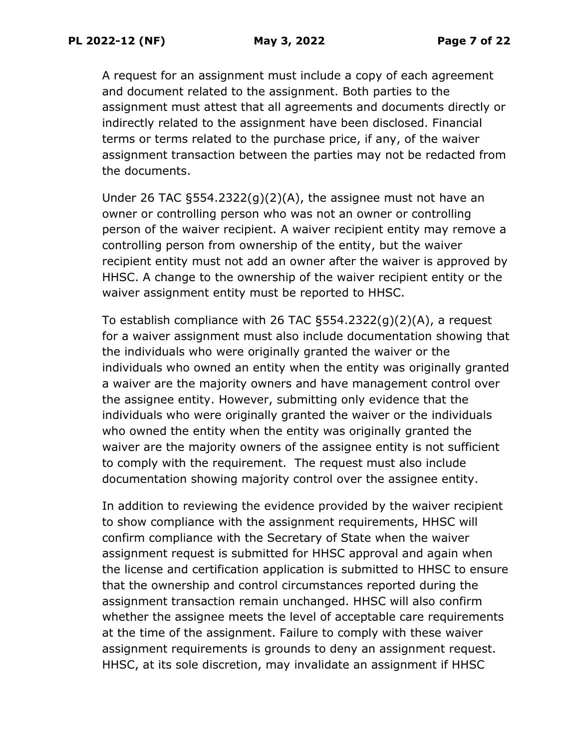A request for an assignment must include a copy of each agreement and document related to the assignment. Both parties to the assignment must attest that all agreements and documents directly or indirectly related to the assignment have been disclosed. Financial terms or terms related to the purchase price, if any, of the waiver assignment transaction between the parties may not be redacted from the documents.

Under 26 TAC  $\S554.2322(g)(2)(A)$ , the assignee must not have an owner or controlling person who was not an owner or controlling person of the waiver recipient. A waiver recipient entity may remove a controlling person from ownership of the entity, but the waiver recipient entity must not add an owner after the waiver is approved by HHSC. A change to the ownership of the waiver recipient entity or the waiver assignment entity must be reported to HHSC.

To establish compliance with 26 TAC §554.2322(g)(2)(A), a request for a waiver assignment must also include documentation showing that the individuals who were originally granted the waiver or the individuals who owned an entity when the entity was originally granted a waiver are the majority owners and have management control over the assignee entity. However, submitting only evidence that the individuals who were originally granted the waiver or the individuals who owned the entity when the entity was originally granted the waiver are the majority owners of the assignee entity is not sufficient to comply with the requirement. The request must also include documentation showing majority control over the assignee entity.

In addition to reviewing the evidence provided by the waiver recipient to show compliance with the assignment requirements, HHSC will confirm compliance with the Secretary of State when the waiver assignment request is submitted for HHSC approval and again when the license and certification application is submitted to HHSC to ensure that the ownership and control circumstances reported during the assignment transaction remain unchanged. HHSC will also confirm whether the assignee meets the level of acceptable care requirements at the time of the assignment. Failure to comply with these waiver assignment requirements is grounds to deny an assignment request. HHSC, at its sole discretion, may invalidate an assignment if HHSC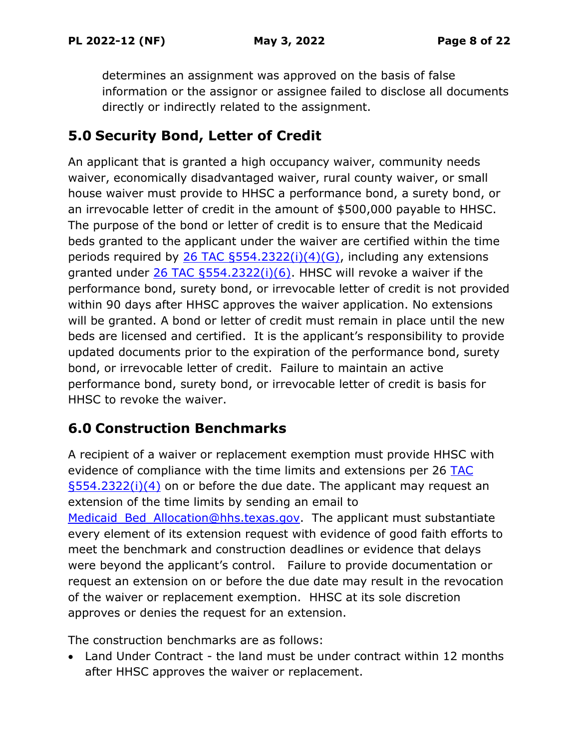determines an assignment was approved on the basis of false information or the assignor or assignee failed to disclose all documents directly or indirectly related to the assignment.

# **5.0 Security Bond, Letter of Credit**

An applicant that is granted a high occupancy waiver, community needs waiver, economically disadvantaged waiver, rural county waiver, or small house waiver must provide to HHSC a performance bond, a surety bond, or an irrevocable letter of credit in the amount of \$500,000 payable to HHSC. The purpose of the bond or letter of credit is to ensure that the Medicaid beds granted to the applicant under the waiver are certified within the time periods required by  $26$  TAC  $5554.2322(i)(4)(G)$ , including any extensions granted under [26 TAC §554.2322\(i\)\(6\).](https://texreg.sos.state.tx.us/public/readtac$ext.TacPage?sl=T&app=9&p_dir=F&p_rloc=203285&p_tloc=59590&p_ploc=44738&pg=5&p_tac=&ti=26&pt=1&ch=554&rl=2322) HHSC will revoke a waiver if the performance bond, surety bond, or irrevocable letter of credit is not provided within 90 days after HHSC approves the waiver application. No extensions will be granted. A bond or letter of credit must remain in place until the new beds are licensed and certified. It is the applicant's responsibility to provide updated documents prior to the expiration of the performance bond, surety bond, or irrevocable letter of credit. Failure to maintain an active performance bond, surety bond, or irrevocable letter of credit is basis for HHSC to revoke the waiver.

# **6.0 Construction Benchmarks**

A recipient of a waiver or replacement exemption must provide HHSC with evidence of compliance with the time limits and extensions per 26 [TAC](https://texreg.sos.state.tx.us/public/readtac$ext.TacPage?sl=T&app=9&p_dir=F&p_rloc=203285&p_tloc=59590&p_ploc=44738&pg=5&p_tac=&ti=26&pt=1&ch=554&rl=2322)  [§554.2322\(i\)\(4\)](https://texreg.sos.state.tx.us/public/readtac$ext.TacPage?sl=T&app=9&p_dir=F&p_rloc=203285&p_tloc=59590&p_ploc=44738&pg=5&p_tac=&ti=26&pt=1&ch=554&rl=2322) on or before the due date. The applicant may request an extension of the time limits by sending an email to Medicaid Bed Allocation@hhs.texas.gov. The applicant must substantiate every element of its extension request with evidence of good faith efforts to meet the benchmark and construction deadlines or evidence that delays were beyond the applicant's control. Failure to provide documentation or request an extension on or before the due date may result in the revocation of the waiver or replacement exemption. HHSC at its sole discretion approves or denies the request for an extension.

The construction benchmarks are as follows:

• Land Under Contract - the land must be under contract within 12 months after HHSC approves the waiver or replacement.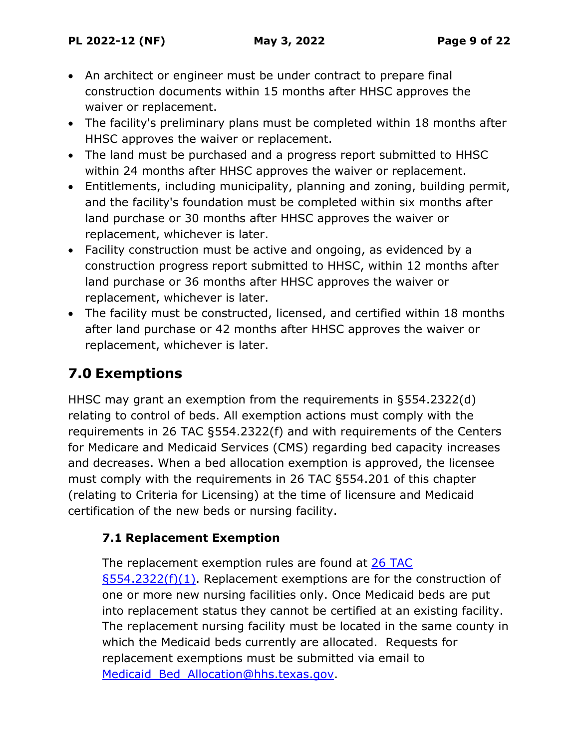- An architect or engineer must be under contract to prepare final construction documents within 15 months after HHSC approves the waiver or replacement.
- The facility's preliminary plans must be completed within 18 months after HHSC approves the waiver or replacement.
- The land must be purchased and a progress report submitted to HHSC within 24 months after HHSC approves the waiver or replacement.
- Entitlements, including municipality, planning and zoning, building permit, and the facility's foundation must be completed within six months after land purchase or 30 months after HHSC approves the waiver or replacement, whichever is later.
- Facility construction must be active and ongoing, as evidenced by a construction progress report submitted to HHSC, within 12 months after land purchase or 36 months after HHSC approves the waiver or replacement, whichever is later.
- The facility must be constructed, licensed, and certified within 18 months after land purchase or 42 months after HHSC approves the waiver or replacement, whichever is later.

# **7.0 Exemptions**

HHSC may grant an exemption from the requirements in §554.2322(d) relating to control of beds. All exemption actions must comply with the requirements in 26 TAC §554.2322(f) and with requirements of the Centers for Medicare and Medicaid Services (CMS) regarding bed capacity increases and decreases. When a bed allocation exemption is approved, the licensee must comply with the requirements in 26 TAC §554.201 of this chapter (relating to Criteria for Licensing) at the time of licensure and Medicaid certification of the new beds or nursing facility.

## **7.1 Replacement Exemption**

The replacement exemption rules are found at [26 TAC](https://texreg.sos.state.tx.us/public/readtac$ext.TacPage?sl=R&app=9&p_dir=&p_rloc=&p_tloc=&p_ploc=&pg=1&p_tac=&ti=26&pt=1&ch=554&rl=2322)   $\S$ 554.2322(f)(1). Replacement exemptions are for the construction of one or more new nursing facilities only. Once Medicaid beds are put into replacement status they cannot be certified at an existing facility. The replacement nursing facility must be located in the same county in which the Medicaid beds currently are allocated. Requests for replacement exemptions must be submitted via email to Medicaid Bed Allocation@hhs.texas.gov.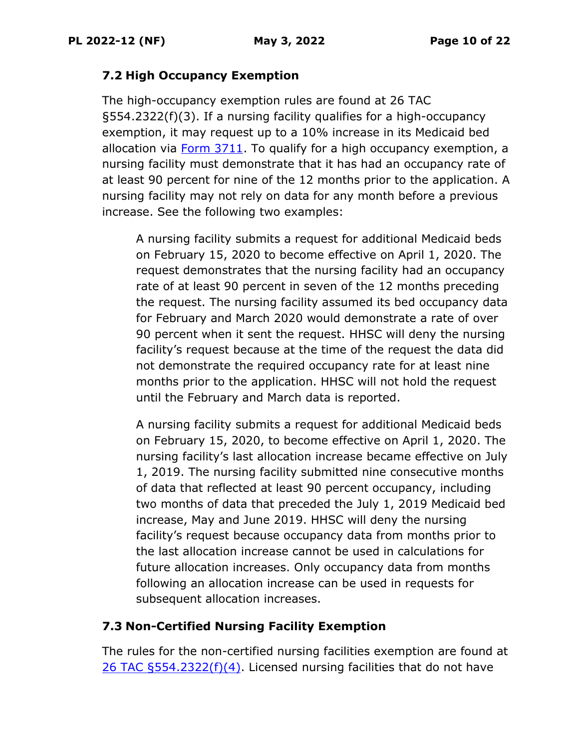#### **7.2 High Occupancy Exemption**

The high-occupancy exemption rules are found at 26 TAC §554.2322(f)(3). If a nursing facility qualifies for a high-occupancy exemption, it may request up to a 10% increase in its Medicaid bed allocation via [Form 3711.](https://www.hhs.texas.gov/sites/default/files/documents/laws-regulations/forms/3711/3711.pdf) To qualify for a high occupancy exemption, a nursing facility must demonstrate that it has had an occupancy rate of at least 90 percent for nine of the 12 months prior to the application. A nursing facility may not rely on data for any month before a previous increase. See the following two examples:

A nursing facility submits a request for additional Medicaid beds on February 15, 2020 to become effective on April 1, 2020. The request demonstrates that the nursing facility had an occupancy rate of at least 90 percent in seven of the 12 months preceding the request. The nursing facility assumed its bed occupancy data for February and March 2020 would demonstrate a rate of over 90 percent when it sent the request. HHSC will deny the nursing facility's request because at the time of the request the data did not demonstrate the required occupancy rate for at least nine months prior to the application. HHSC will not hold the request until the February and March data is reported.

A nursing facility submits a request for additional Medicaid beds on February 15, 2020, to become effective on April 1, 2020. The nursing facility's last allocation increase became effective on July 1, 2019. The nursing facility submitted nine consecutive months of data that reflected at least 90 percent occupancy, including two months of data that preceded the July 1, 2019 Medicaid bed increase, May and June 2019. HHSC will deny the nursing facility's request because occupancy data from months prior to the last allocation increase cannot be used in calculations for future allocation increases. Only occupancy data from months following an allocation increase can be used in requests for subsequent allocation increases.

## **7.3 Non-Certified Nursing Facility Exemption**

The rules for the non-certified nursing facilities exemption are found at 26 TAC  $\S 554.2322(f)(4)$ . Licensed nursing facilities that do not have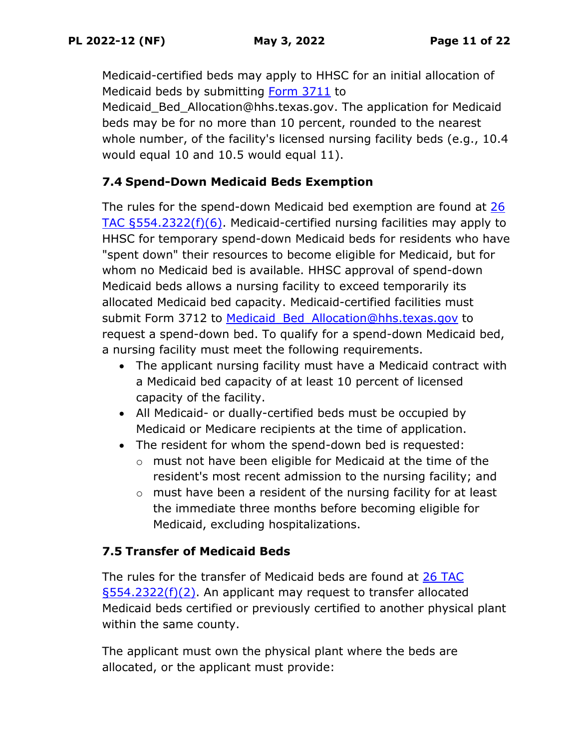Medicaid-certified beds may apply to HHSC for an initial allocation of Medicaid beds by submitting [Form 3711](https://www.hhs.texas.gov/sites/default/files/documents/laws-regulations/forms/3711/3711.pdf) to

Medicaid Bed Allocation@hhs.texas.gov. The application for Medicaid beds may be for no more than 10 percent, rounded to the nearest whole number, of the facility's licensed nursing facility beds (e.g., 10.4 would equal 10 and 10.5 would equal 11).

## **7.4 Spend-Down Medicaid Beds Exemption**

The rules for the spend-down Medicaid bed exemption are found at 26 [TAC §554.2322\(f\)\(6\).](https://texreg.sos.state.tx.us/public/readtac$ext.TacPage?sl=T&app=9&p_dir=F&p_rloc=203285&p_tloc=14966&p_ploc=1&pg=2&p_tac=&ti=26&pt=1&ch=554&rl=2322) Medicaid-certified nursing facilities may apply to HHSC for temporary spend-down Medicaid beds for residents who have "spent down" their resources to become eligible for Medicaid, but for whom no Medicaid bed is available. HHSC approval of spend-down Medicaid beds allows a nursing facility to exceed temporarily its allocated Medicaid bed capacity. Medicaid-certified facilities must submit Form 3712 to Medicaid Bed Allocation@hhs.texas.gov to request a spend-down bed. To qualify for a spend-down Medicaid bed, a nursing facility must meet the following requirements.

- The applicant nursing facility must have a Medicaid contract with a Medicaid bed capacity of at least 10 percent of licensed capacity of the facility.
- All Medicaid- or dually-certified beds must be occupied by Medicaid or Medicare recipients at the time of application.
- The resident for whom the spend-down bed is requested:
	- o must not have been eligible for Medicaid at the time of the resident's most recent admission to the nursing facility; and
	- o must have been a resident of the nursing facility for at least the immediate three months before becoming eligible for Medicaid, excluding hospitalizations.

## **7.5 Transfer of Medicaid Beds**

The rules for the transfer of Medicaid beds are found at [26 TAC](https://texreg.sos.state.tx.us/public/readtac$ext.TacPage?sl=R&app=9&p_dir=&p_rloc=&p_tloc=&p_ploc=&pg=1&p_tac=&ti=26&pt=1&ch=554&rl=2322)  [§554.2322\(f\)\(2\).](https://texreg.sos.state.tx.us/public/readtac$ext.TacPage?sl=R&app=9&p_dir=&p_rloc=&p_tloc=&p_ploc=&pg=1&p_tac=&ti=26&pt=1&ch=554&rl=2322) An applicant may request to transfer allocated Medicaid beds certified or previously certified to another physical plant within the same county.

The applicant must own the physical plant where the beds are allocated, or the applicant must provide: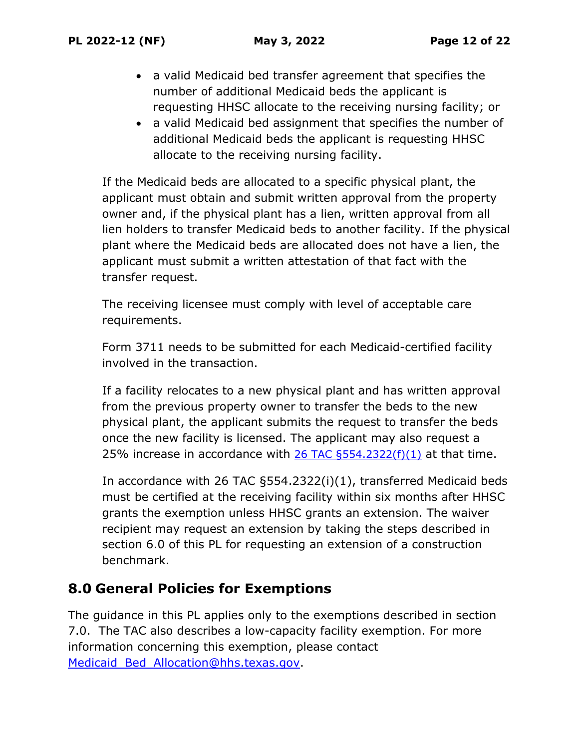- a valid Medicaid bed transfer agreement that specifies the number of additional Medicaid beds the applicant is requesting HHSC allocate to the receiving nursing facility; or
- a valid Medicaid bed assignment that specifies the number of additional Medicaid beds the applicant is requesting HHSC allocate to the receiving nursing facility.

If the Medicaid beds are allocated to a specific physical plant, the applicant must obtain and submit written approval from the property owner and, if the physical plant has a lien, written approval from all lien holders to transfer Medicaid beds to another facility. If the physical plant where the Medicaid beds are allocated does not have a lien, the applicant must submit a written attestation of that fact with the transfer request.

The receiving licensee must comply with level of acceptable care requirements.

Form 3711 needs to be submitted for each Medicaid-certified facility involved in the transaction.

If a facility relocates to a new physical plant and has written approval from the previous property owner to transfer the beds to the new physical plant, the applicant submits the request to transfer the beds once the new facility is licensed. The applicant may also request a 25% increase in accordance with 26 TAC  $\S$ 554.2322(f)(1) at that time.

In accordance with 26 TAC §554.2322(i)(1), transferred Medicaid beds must be certified at the receiving facility within six months after HHSC grants the exemption unless HHSC grants an extension. The waiver recipient may request an extension by taking the steps described in section 6.0 of this PL for requesting an extension of a construction benchmark.

# **8.0 General Policies for Exemptions**

The guidance in this PL applies only to the exemptions described in section 7.0. The TAC also describes a low-capacity facility exemption. For more information concerning this exemption, please contact Medicaid Bed Allocation@hhs.texas.gov.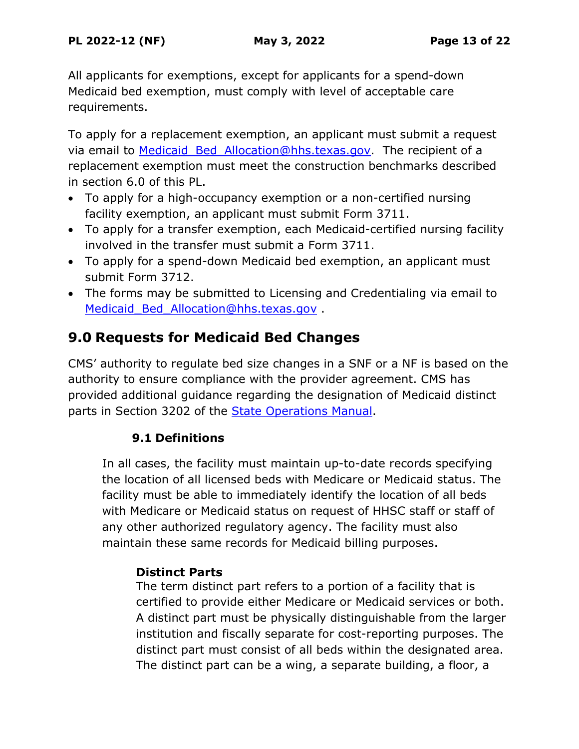All applicants for exemptions, except for applicants for a spend-down Medicaid bed exemption, must comply with level of acceptable care requirements.

To apply for a replacement exemption, an applicant must submit a request via email to Medicaid Bed Allocation@hhs.texas.gov. The recipient of a replacement exemption must meet the construction benchmarks described in section 6.0 of this PL.

- To apply for a high-occupancy exemption or a non-certified nursing facility exemption, an applicant must submit Form 3711.
- To apply for a transfer exemption, each Medicaid-certified nursing facility involved in the transfer must submit a Form 3711.
- To apply for a spend-down Medicaid bed exemption, an applicant must submit Form 3712.
- The forms may be submitted to Licensing and Credentialing via email to Medicaid Bed Allocation@hhs.texas.gov .

# **9.0 Requests for Medicaid Bed Changes**

CMS' authority to regulate bed size changes in a SNF or a NF is based on the authority to ensure compliance with the provider agreement. CMS has provided additional guidance regarding the designation of Medicaid distinct parts in Section 3202 of the [State Operations Manual.](https://www.cms.gov/regulations-and-guidance/guidance/manuals/downloads/som107c03pdf.pdf)

## **9.1 Definitions**

In all cases, the facility must maintain up-to-date records specifying the location of all licensed beds with Medicare or Medicaid status. The facility must be able to immediately identify the location of all beds with Medicare or Medicaid status on request of HHSC staff or staff of any other authorized regulatory agency. The facility must also maintain these same records for Medicaid billing purposes.

## **Distinct Parts**

The term distinct part refers to a portion of a facility that is certified to provide either Medicare or Medicaid services or both. A distinct part must be physically distinguishable from the larger institution and fiscally separate for cost-reporting purposes. The distinct part must consist of all beds within the designated area. The distinct part can be a wing, a separate building, a floor, a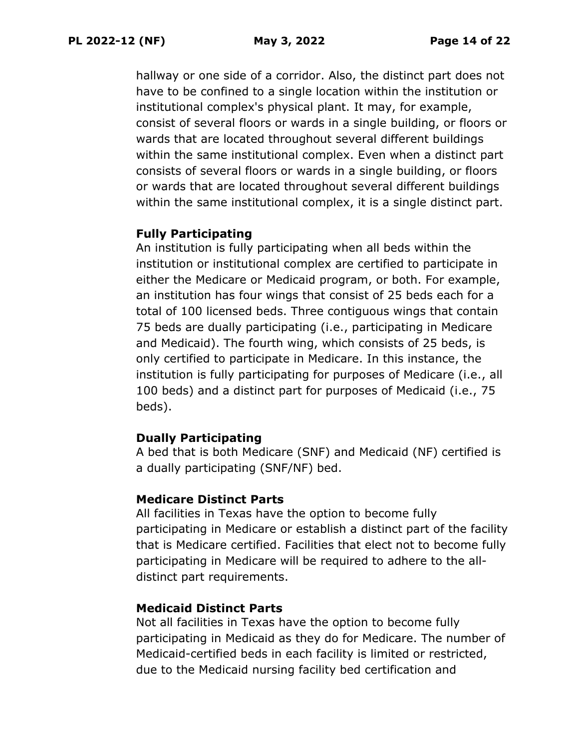hallway or one side of a corridor. Also, the distinct part does not have to be confined to a single location within the institution or institutional complex's physical plant. It may, for example, consist of several floors or wards in a single building, or floors or wards that are located throughout several different buildings within the same institutional complex. Even when a distinct part consists of several floors or wards in a single building, or floors or wards that are located throughout several different buildings within the same institutional complex, it is a single distinct part.

#### **Fully Participating**

An institution is fully participating when all beds within the institution or institutional complex are certified to participate in either the Medicare or Medicaid program, or both. For example, an institution has four wings that consist of 25 beds each for a total of 100 licensed beds. Three contiguous wings that contain 75 beds are dually participating (i.e., participating in Medicare and Medicaid). The fourth wing, which consists of 25 beds, is only certified to participate in Medicare. In this instance, the institution is fully participating for purposes of Medicare (i.e., all 100 beds) and a distinct part for purposes of Medicaid (i.e., 75 beds).

#### **Dually Participating**

A bed that is both Medicare (SNF) and Medicaid (NF) certified is a dually participating (SNF/NF) bed.

#### **Medicare Distinct Parts**

All facilities in Texas have the option to become fully participating in Medicare or establish a distinct part of the facility that is Medicare certified. Facilities that elect not to become fully participating in Medicare will be required to adhere to the alldistinct part requirements.

#### **Medicaid Distinct Parts**

Not all facilities in Texas have the option to become fully participating in Medicaid as they do for Medicare. The number of Medicaid-certified beds in each facility is limited or restricted, due to the Medicaid nursing facility bed certification and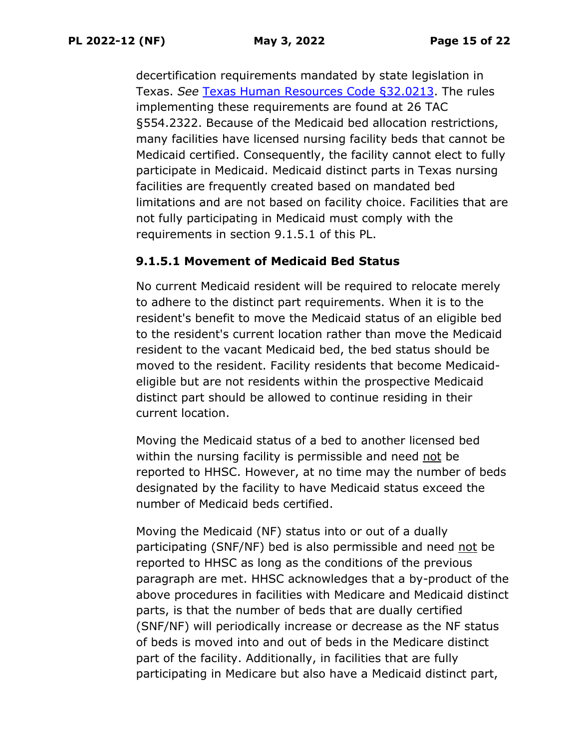decertification requirements mandated by state legislation in Texas. *See* Texas Human Resources [Code §32.0213.](https://statutes.capitol.texas.gov/Docs/HR/htm/HR.32.htm) The rules implementing these requirements are found at 26 TAC §554.2322. Because of the Medicaid bed allocation restrictions, many facilities have licensed nursing facility beds that cannot be Medicaid certified. Consequently, the facility cannot elect to fully participate in Medicaid. Medicaid distinct parts in Texas nursing facilities are frequently created based on mandated bed limitations and are not based on facility choice. Facilities that are not fully participating in Medicaid must comply with the requirements in section 9.1.5.1 of this PL.

#### **9.1.5.1 Movement of Medicaid Bed Status**

No current Medicaid resident will be required to relocate merely to adhere to the distinct part requirements. When it is to the resident's benefit to move the Medicaid status of an eligible bed to the resident's current location rather than move the Medicaid resident to the vacant Medicaid bed, the bed status should be moved to the resident. Facility residents that become Medicaideligible but are not residents within the prospective Medicaid distinct part should be allowed to continue residing in their current location.

Moving the Medicaid status of a bed to another licensed bed within the nursing facility is permissible and need not be reported to HHSC. However, at no time may the number of beds designated by the facility to have Medicaid status exceed the number of Medicaid beds certified.

Moving the Medicaid (NF) status into or out of a dually participating (SNF/NF) bed is also permissible and need not be reported to HHSC as long as the conditions of the previous paragraph are met. HHSC acknowledges that a by-product of the above procedures in facilities with Medicare and Medicaid distinct parts, is that the number of beds that are dually certified (SNF/NF) will periodically increase or decrease as the NF status of beds is moved into and out of beds in the Medicare distinct part of the facility. Additionally, in facilities that are fully participating in Medicare but also have a Medicaid distinct part,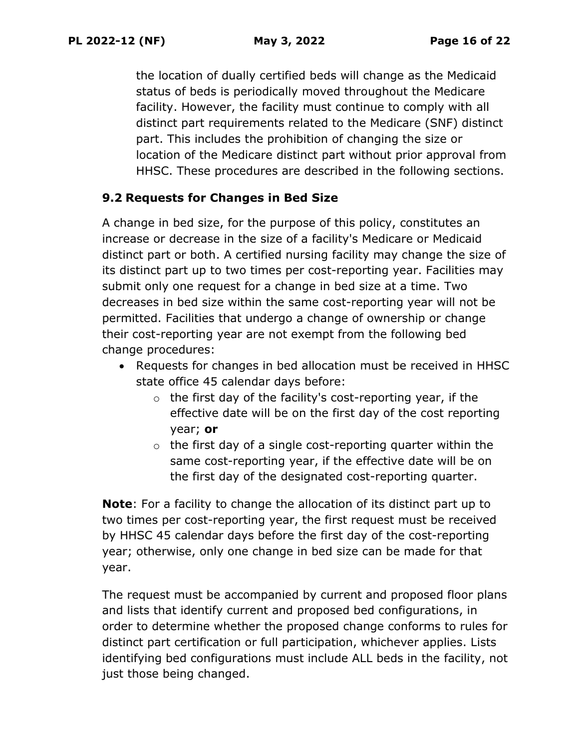the location of dually certified beds will change as the Medicaid status of beds is periodically moved throughout the Medicare facility. However, the facility must continue to comply with all distinct part requirements related to the Medicare (SNF) distinct part. This includes the prohibition of changing the size or location of the Medicare distinct part without prior approval from HHSC. These procedures are described in the following sections.

#### **9.2 Requests for Changes in Bed Size**

A change in bed size, for the purpose of this policy, constitutes an increase or decrease in the size of a facility's Medicare or Medicaid distinct part or both. A certified nursing facility may change the size of its distinct part up to two times per cost-reporting year. Facilities may submit only one request for a change in bed size at a time. Two decreases in bed size within the same cost-reporting year will not be permitted. Facilities that undergo a change of ownership or change their cost-reporting year are not exempt from the following bed change procedures:

- Requests for changes in bed allocation must be received in HHSC state office 45 calendar days before:
	- o the first day of the facility's cost-reporting year, if the effective date will be on the first day of the cost reporting year; **or**
	- $\circ$  the first day of a single cost-reporting quarter within the same cost-reporting year, if the effective date will be on the first day of the designated cost-reporting quarter.

**Note**: For a facility to change the allocation of its distinct part up to two times per cost-reporting year, the first request must be received by HHSC 45 calendar days before the first day of the cost-reporting year; otherwise, only one change in bed size can be made for that year.

The request must be accompanied by current and proposed floor plans and lists that identify current and proposed bed configurations, in order to determine whether the proposed change conforms to rules for distinct part certification or full participation, whichever applies. Lists identifying bed configurations must include ALL beds in the facility, not just those being changed.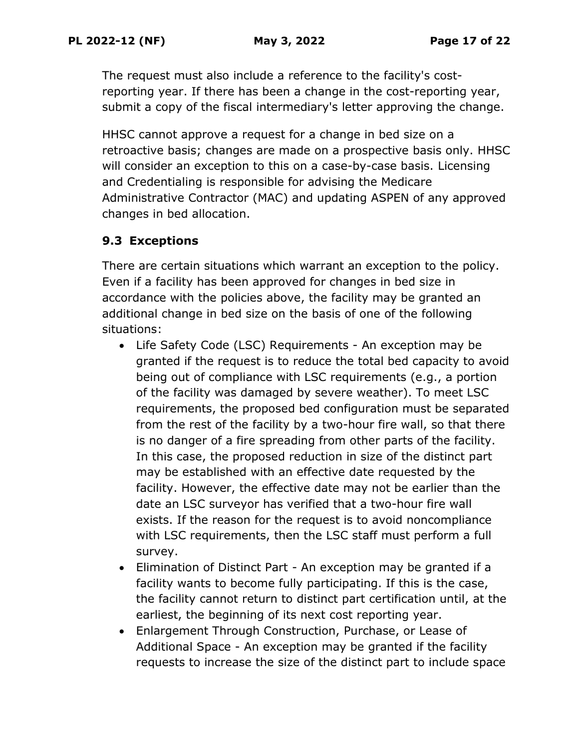The request must also include a reference to the facility's costreporting year. If there has been a change in the cost-reporting year, submit a copy of the fiscal intermediary's letter approving the change.

HHSC cannot approve a request for a change in bed size on a retroactive basis; changes are made on a prospective basis only. HHSC will consider an exception to this on a case-by-case basis. Licensing and Credentialing is responsible for advising the Medicare Administrative Contractor (MAC) and updating ASPEN of any approved changes in bed allocation.

## **9.3 Exceptions**

There are certain situations which warrant an exception to the policy. Even if a facility has been approved for changes in bed size in accordance with the policies above, the facility may be granted an additional change in bed size on the basis of one of the following situations:

- Life Safety Code (LSC) Requirements An exception may be granted if the request is to reduce the total bed capacity to avoid being out of compliance with LSC requirements (e.g., a portion of the facility was damaged by severe weather). To meet LSC requirements, the proposed bed configuration must be separated from the rest of the facility by a two-hour fire wall, so that there is no danger of a fire spreading from other parts of the facility. In this case, the proposed reduction in size of the distinct part may be established with an effective date requested by the facility. However, the effective date may not be earlier than the date an LSC surveyor has verified that a two-hour fire wall exists. If the reason for the request is to avoid noncompliance with LSC requirements, then the LSC staff must perform a full survey.
- Elimination of Distinct Part An exception may be granted if a facility wants to become fully participating. If this is the case, the facility cannot return to distinct part certification until, at the earliest, the beginning of its next cost reporting year.
- Enlargement Through Construction, Purchase, or Lease of Additional Space - An exception may be granted if the facility requests to increase the size of the distinct part to include space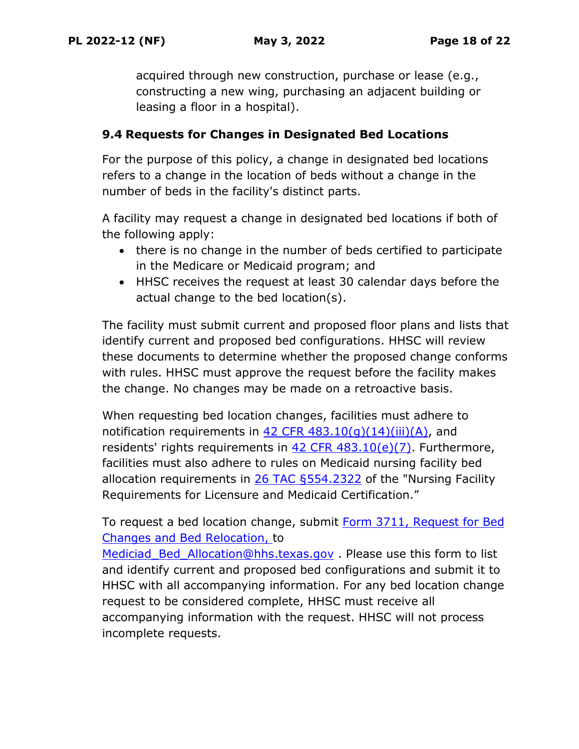acquired through new construction, purchase or lease (e.g., constructing a new wing, purchasing an adjacent building or leasing a floor in a hospital).

#### **9.4 Requests for Changes in Designated Bed Locations**

For the purpose of this policy, a change in designated bed locations refers to a change in the location of beds without a change in the number of beds in the facility's distinct parts.

A facility may request a change in designated bed locations if both of the following apply:

- there is no change in the number of beds certified to participate in the Medicare or Medicaid program; and
- HHSC receives the request at least 30 calendar days before the actual change to the bed location(s).

The facility must submit current and proposed floor plans and lists that identify current and proposed bed configurations. HHSC will review these documents to determine whether the proposed change conforms with rules. HHSC must approve the request before the facility makes the change. No changes may be made on a retroactive basis.

When requesting bed location changes, facilities must adhere to notification requirements in  $42$  CFR  $483.10(q)(14)(iii)(A)$ , and residents' rights requirements in [42 CFR 483.10\(e\)\(7\).](https://www.ecfr.gov/current/title-42/chapter-IV/subchapter-G/part-483/subpart-B/section-483.10) Furthermore, facilities must also adhere to rules on Medicaid nursing facility bed allocation requirements in [26 TAC §554.2322](https://texreg.sos.state.tx.us/public/readtac$ext.TacPage?sl=R&app=9&p_dir=&p_rloc=&p_tloc=&p_ploc=&pg=1&p_tac=&ti=26&pt=1&ch=554&rl=2322) of the "Nursing Facility Requirements for Licensure and Medicaid Certification."

To request a bed location change, submit Form 3711, [Request for Bed](https://www.hhs.texas.gov/sites/default/files/documents/laws-regulations/forms/3711/3711.pdf)  [Changes and Bed Relocation,](https://www.hhs.texas.gov/sites/default/files/documents/laws-regulations/forms/3711/3711.pdf) to

Mediciad Bed Allocation@hhs.texas.gov . Please use this form to list and identify current and proposed bed configurations and submit it to HHSC with all accompanying information. For any bed location change request to be considered complete, HHSC must receive all accompanying information with the request. HHSC will not process incomplete requests.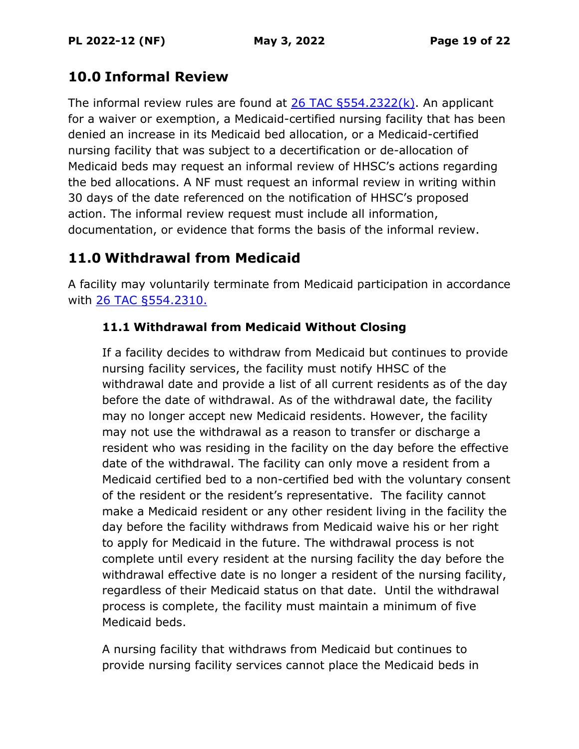# **10.0 Informal Review**

The informal review rules are found at  $26$  TAC  $\S$ 554.2322(k). An applicant for a waiver or exemption, a Medicaid-certified nursing facility that has been denied an increase in its Medicaid bed allocation, or a Medicaid-certified nursing facility that was subject to a decertification or de-allocation of Medicaid beds may request an informal review of HHSC's actions regarding the bed allocations. A NF must request an informal review in writing within 30 days of the date referenced on the notification of HHSC's proposed action. The informal review request must include all information, documentation, or evidence that forms the basis of the informal review.

# **11.0 Withdrawal from Medicaid**

A facility may voluntarily terminate from Medicaid participation in accordance with [26 TAC §554.2310.](https://texreg.sos.state.tx.us/public/readtac$ext.TacPage?sl=R&app=9&p_dir=&p_rloc=&p_tloc=&p_ploc=&pg=1&p_tac=&ti=26&pt=1&ch=554&rl=2310)

## **11.1 Withdrawal from Medicaid Without Closing**

If a facility decides to withdraw from Medicaid but continues to provide nursing facility services, the facility must notify HHSC of the withdrawal date and provide a list of all current residents as of the day before the date of withdrawal. As of the withdrawal date, the facility may no longer accept new Medicaid residents. However, the facility may not use the withdrawal as a reason to transfer or discharge a resident who was residing in the facility on the day before the effective date of the withdrawal. The facility can only move a resident from a Medicaid certified bed to a non-certified bed with the voluntary consent of the resident or the resident's representative. The facility cannot make a Medicaid resident or any other resident living in the facility the day before the facility withdraws from Medicaid waive his or her right to apply for Medicaid in the future. The withdrawal process is not complete until every resident at the nursing facility the day before the withdrawal effective date is no longer a resident of the nursing facility, regardless of their Medicaid status on that date. Until the withdrawal process is complete, the facility must maintain a minimum of five Medicaid beds.

A nursing facility that withdraws from Medicaid but continues to provide nursing facility services cannot place the Medicaid beds in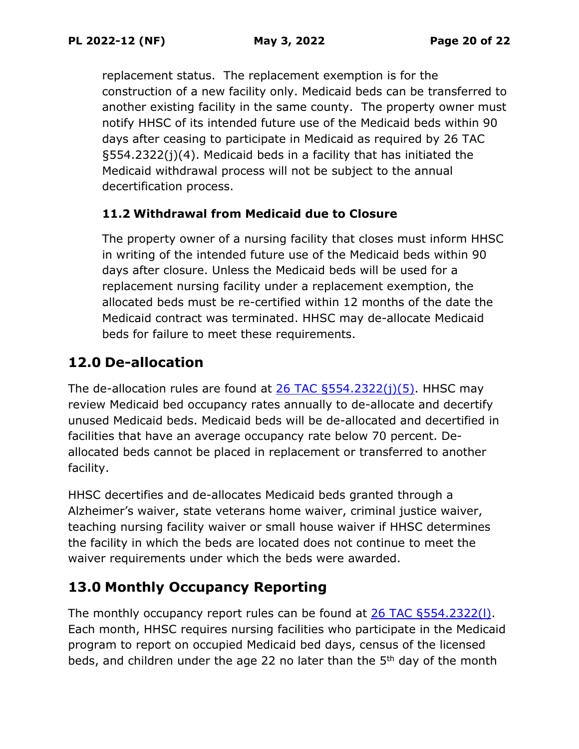replacement status. The replacement exemption is for the construction of a new facility only. Medicaid beds can be transferred to another existing facility in the same county. The property owner must notify HHSC of its intended future use of the Medicaid beds within 90 days after ceasing to participate in Medicaid as required by 26 TAC §554.2322(j)(4). Medicaid beds in a facility that has initiated the Medicaid withdrawal process will not be subject to the annual decertification process.

#### **11.2 Withdrawal from Medicaid due to Closure**

The property owner of a nursing facility that closes must inform HHSC in writing of the intended future use of the Medicaid beds within 90 days after closure. Unless the Medicaid beds will be used for a replacement nursing facility under a replacement exemption, the allocated beds must be re-certified within 12 months of the date the Medicaid contract was terminated. HHSC may de-allocate Medicaid beds for failure to meet these requirements.

# **12.0 De-allocation**

The de-allocation rules are found at  $26$  TAC  $6554.2322(i)(5)$ . HHSC may review Medicaid bed occupancy rates annually to de-allocate and decertify unused Medicaid beds. Medicaid beds will be de-allocated and decertified in facilities that have an average occupancy rate below 70 percent. Deallocated beds cannot be placed in replacement or transferred to another facility.

HHSC decertifies and de-allocates Medicaid beds granted through a Alzheimer's waiver, state veterans home waiver, criminal justice waiver, teaching nursing facility waiver or small house waiver if HHSC determines the facility in which the beds are located does not continue to meet the waiver requirements under which the beds were awarded.

# **13.0 Monthly Occupancy Reporting**

The monthly occupancy report rules can be found at [26 TAC §554.2322\(l\).](https://texreg.sos.state.tx.us/public/readtac$ext.TacPage?sl=T&app=9&p_dir=F&p_rloc=203285&p_tloc=74390&p_ploc=59590&pg=6&p_tac=&ti=26&pt=1&ch=554&rl=2322) Each month, HHSC requires nursing facilities who participate in the Medicaid program to report on occupied Medicaid bed days, census of the licensed beds, and children under the age 22 no later than the 5th day of the month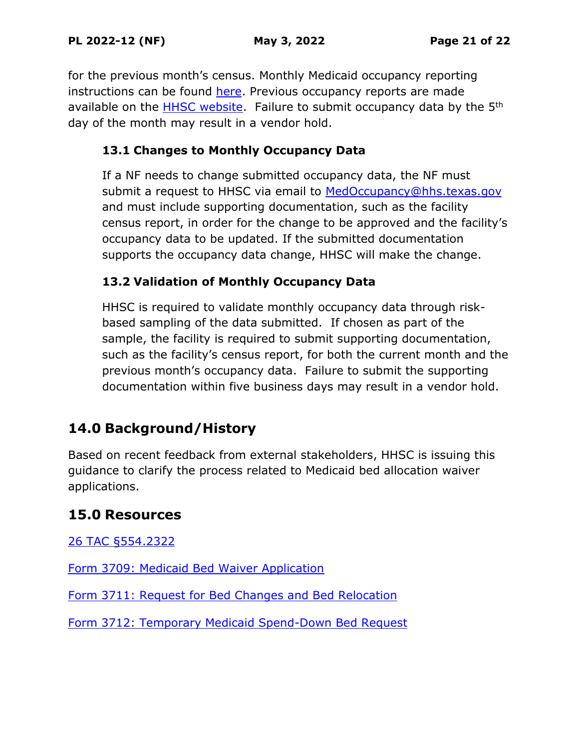for the previous month's census. Monthly Medicaid occupancy reporting instructions can be found [here.](https://hhs.texas.gov/sites/default/files/documents/doing-business-with-hhs/provider-portal/long-term-care/nf/med-occupancy-instructions-02-26-2018.pdf) Previous occupancy reports are made available on the [HHSC website.](https://hhs.texas.gov/doing-business-hhs/provider-portals/long-term-care-providers/nursing-facilities/medicaid-occupancy-reports) Failure to submit occupancy data by the 5<sup>th</sup> day of the month may result in a vendor hold.

## **13.1 Changes to Monthly Occupancy Data**

If a NF needs to change submitted occupancy data, the NF must submit a request to HHSC via email to [MedOccupancy@hhs.texas.gov](mailto:MedOccupancy@hhs.texas.gov) and must include supporting documentation, such as the facility census report, in order for the change to be approved and the facility's occupancy data to be updated. If the submitted documentation supports the occupancy data change, HHSC will make the change.

## **13.2 Validation of Monthly Occupancy Data**

HHSC is required to validate monthly occupancy data through riskbased sampling of the data submitted. If chosen as part of the sample, the facility is required to submit supporting documentation, such as the facility's census report, for both the current month and the previous month's occupancy data. Failure to submit the supporting documentation within five business days may result in a vendor hold.

# **14.0 Background/History**

Based on recent feedback from external stakeholders, HHSC is issuing this guidance to clarify the process related to Medicaid bed allocation waiver applications.

## **15.0 Resources**

[26 TAC §554.2322](https://texreg.sos.state.tx.us/public/readtac$ext.TacPage?sl=R&app=9&p_dir=&p_rloc=&p_tloc=&p_ploc=&pg=1&p_tac=&ti=26&pt=1&ch=554&rl=2322)

[Form 3709: Medicaid Bed Waiver Application](https://hhs.texas.gov/laws-regulations/forms/3000-3999/form-3709-medicaid-bed-waiver-application-nursing-facilities)

Form 3711: [Request for Bed Changes and Bed Relocation](https://www.hhs.texas.gov/sites/default/files/documents/laws-regulations/forms/3711/3711.pdf)

[Form 3712: Temporary Medicaid Spend-Down Bed Request](https://www.hhs.texas.gov/sites/default/files/documents/laws-regulations/forms/3712/3712.pdf)